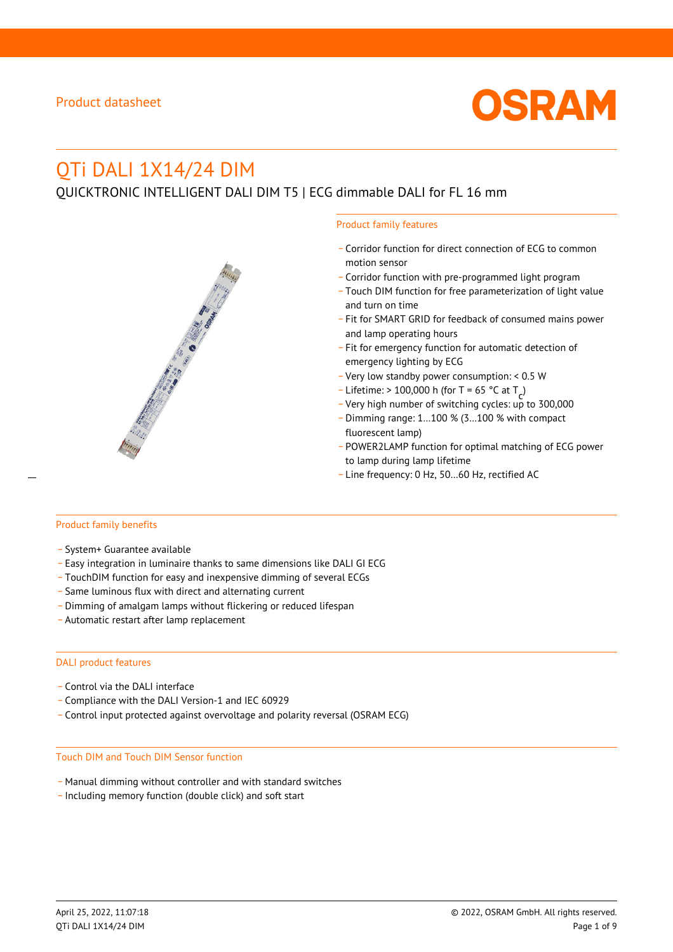

# QTi DALI 1X14/24 DIM

QUICKTRONIC INTELLIGENT DALI DIM T5 | ECG dimmable DALI for FL 16 mm

#### Product family features

- \_ Corridor function for direct connection of ECG to common motion sensor
- \_ Corridor function with pre-programmed light program
- \_ Touch DIM function for free parameterization of light value and turn on time
- Fit for SMART GRID for feedback of consumed mains power and lamp operating hours
- \_ Fit for emergency function for automatic detection of emergency lighting by ECG
- \_ Very low standby power consumption: < 0.5 W
- $-$  Lifetime: > 100,000 h (for T = 65 °C at T
- Litedine. The 100,000 in (ion 1 05 ° C at  $1\frac{c^7}{c^7}$ <br>- Very high number of switching cycles: up to 300,000
- \_ Dimming range: 1…100 % (3…100 % with compact fluorescent lamp)
- POWER2LAMP function for optimal matching of ECG power to lamp during lamp lifetime
- Line frequency: 0 Hz, 50...60 Hz, rectified AC

#### Product family benefits

- \_ System+ Guarantee available
- \_ Easy integration in luminaire thanks to same dimensions like DALI GI ECG
- \_ TouchDIM function for easy and inexpensive dimming of several ECGs
- \_ Same luminous flux with direct and alternating current
- \_ Dimming of amalgam lamps without flickering or reduced lifespan
- \_ Automatic restart after lamp replacement

#### DALI product features

- Control via the DALI interface
- \_ Compliance with the DALI Version-1 and IEC 60929
- \_ Control input protected against overvoltage and polarity reversal (OSRAM ECG)

#### Touch DIM and Touch DIM Sensor function

- \_ Manual dimming without controller and with standard switches
- \_ Including memory function (double click) and soft start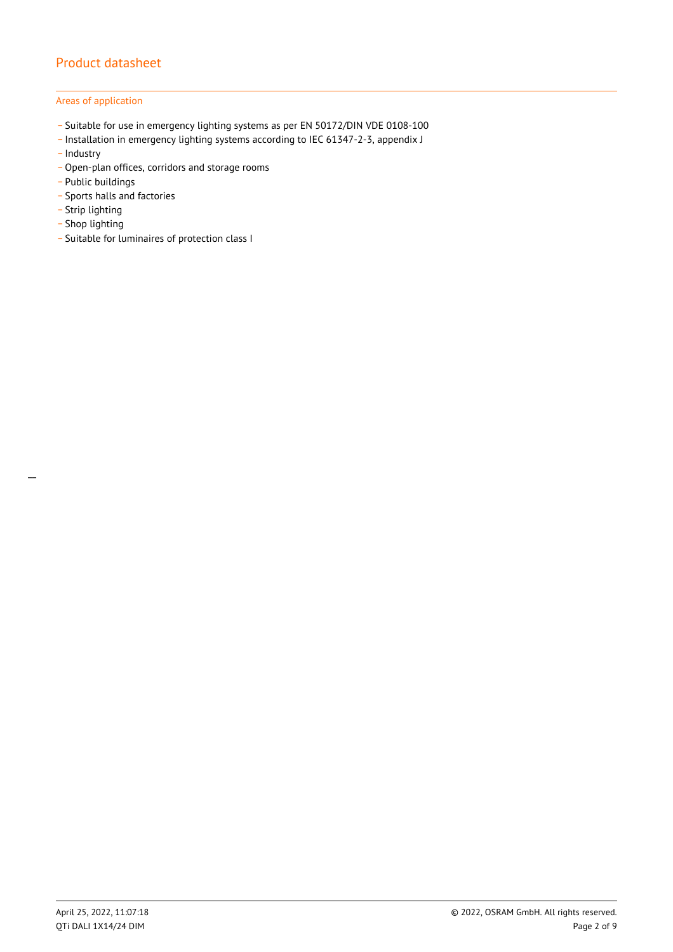## Areas of application

- \_ Suitable for use in emergency lighting systems as per EN 50172/DIN VDE 0108-100
- \_ Installation in emergency lighting systems according to IEC 61347-2-3, appendix J
- Industry
- \_ Open-plan offices, corridors and storage rooms
- \_ Public buildings
- \_ Sports halls and factories
- .<br>- Strip lighting
- \_ Shop lighting
- \_ Suitable for luminaires of protection class I

 $\overline{a}$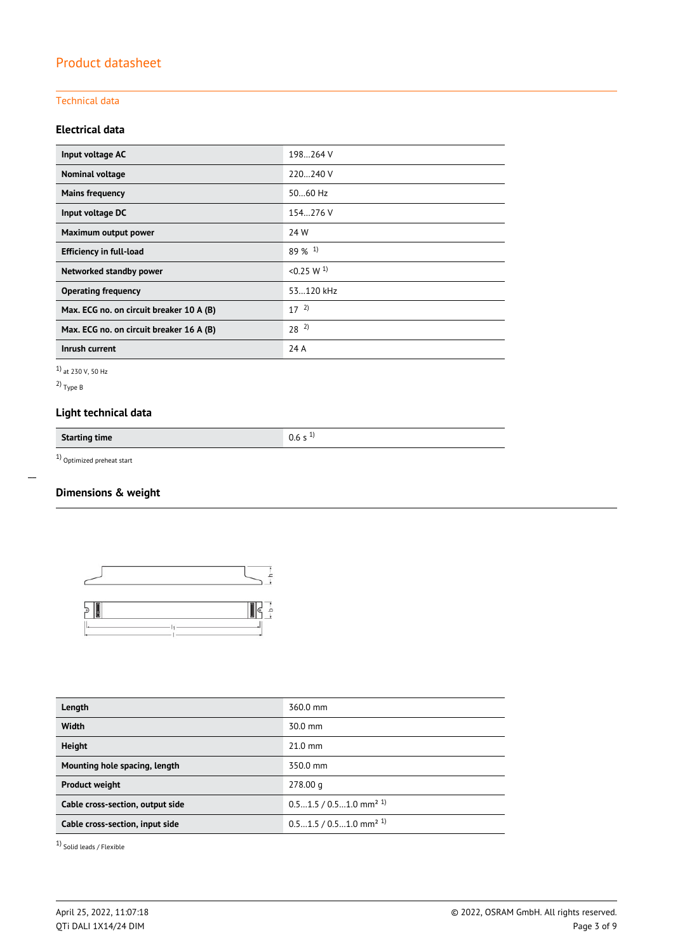## Technical data

## **Electrical data**

| Input voltage AC                         | 198264 V              |
|------------------------------------------|-----------------------|
| Nominal voltage                          | 220240 V              |
| <b>Mains frequency</b>                   | 5060 Hz               |
| Input voltage DC                         | 154.276 V             |
| Maximum output power                     | 24 W                  |
| <b>Efficiency in full-load</b>           | $89\%$ <sup>1)</sup>  |
| Networked standby power                  | < 0.25 W <sup>1</sup> |
| <b>Operating frequency</b>               | 53.120 kHz            |
| Max. ECG no. on circuit breaker 10 A (B) | $17^{2}$              |
| Max. ECG no. on circuit breaker 16 A (B) | $28^{2}$              |
| Inrush current                           | 24 A                  |

1) at 230 V, 50 Hz

2) Type B

 $\overline{a}$ 

## **Light technical data**

**Starting time** 0.6 s <sup>1)</sup>

1) Optimized preheat start

## **Dimensions & weight**



| Length                           | 360.0 mm                             |
|----------------------------------|--------------------------------------|
| Width                            | 30.0 mm                              |
| <b>Height</b>                    | $21.0$ mm                            |
| Mounting hole spacing, length    | 350.0 mm                             |
| <b>Product weight</b>            | 278.00 g                             |
| Cable cross-section, output side | $0.51.5 / 0.51.0$ mm <sup>2 1)</sup> |
| Cable cross-section, input side  | $0.51.5 / 0.51.0$ mm <sup>2 1)</sup> |

1) Solid leads / Flexible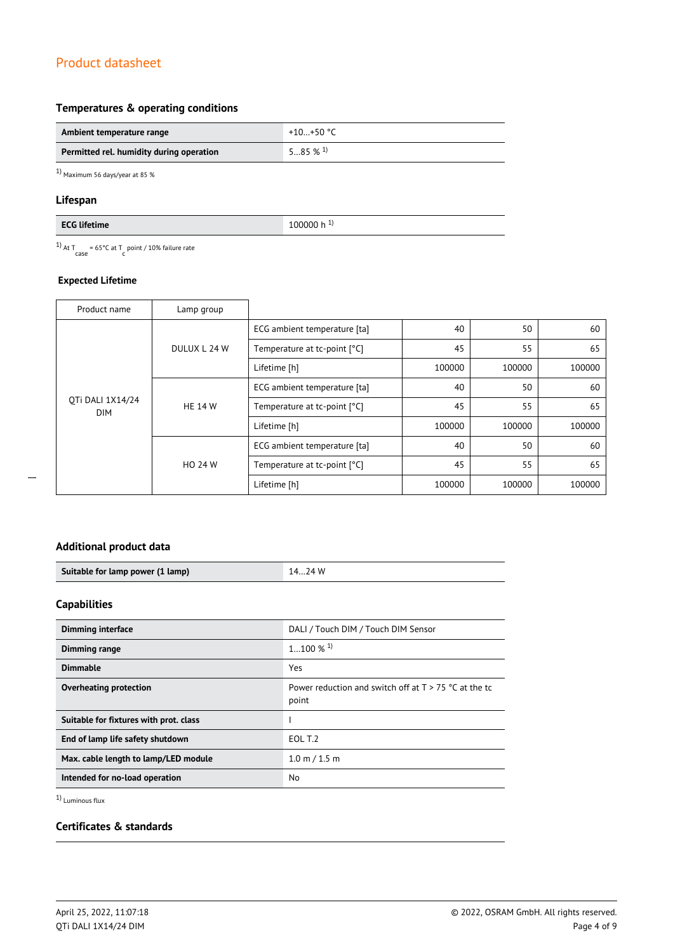## **Temperatures & operating conditions**

| Ambient temperature range                | +10+50 °C             |
|------------------------------------------|-----------------------|
| Permitted rel. humidity during operation | $585\%$ <sup>1)</sup> |

1) Maximum 56 days/year at 85 %

## **Lifespan**

<sup>1)</sup> At T<sub>case</sub> = 65°C at T<sub>c</sub> point / 10% failure rate

## **Expected Lifetime**

| Product name                   | Lamp group     |                              |        |        |        |
|--------------------------------|----------------|------------------------------|--------|--------|--------|
| OTi DALI 1X14/24<br><b>DIM</b> | DULUX L 24 W   | ECG ambient temperature [ta] | 40     | 50     | 60     |
|                                |                | Temperature at tc-point [°C] | 45     | 55     | 65     |
|                                |                | Lifetime [h]                 | 100000 | 100000 | 100000 |
|                                | <b>HE 14 W</b> | ECG ambient temperature [ta] | 40     | 50     | 60     |
|                                |                | Temperature at tc-point [°C] | 45     | 55     | 65     |
|                                |                | Lifetime [h]                 | 100000 | 100000 | 100000 |
|                                | <b>HO 24 W</b> | ECG ambient temperature [ta] | 40     | 50     | 60     |
|                                |                | Temperature at tc-point [°C] | 45     | 55     | 65     |
|                                |                | Lifetime [h]                 | 100000 | 100000 | 100000 |

## **Additional product data**

| Suitable for lamp power (1 lamp) | 74 W |
|----------------------------------|------|

## **Capabilities**

| <b>Dimming interface</b>               | DALI / Touch DIM / Touch DIM Sensor                              |
|----------------------------------------|------------------------------------------------------------------|
| Dimming range                          | $1100\%$ <sup>1)</sup>                                           |
| <b>Dimmable</b>                        | Yes                                                              |
| Overheating protection                 | Power reduction and switch off at $T > 75$ °C at the tc<br>point |
| Suitable for fixtures with prot. class |                                                                  |
| End of lamp life safety shutdown       | EOL T.2                                                          |
| Max. cable length to lamp/LED module   | $1.0 \text{ m} / 1.5 \text{ m}$                                  |
| Intended for no-load operation         | No.                                                              |

1) Luminous flux

## **Certificates & standards**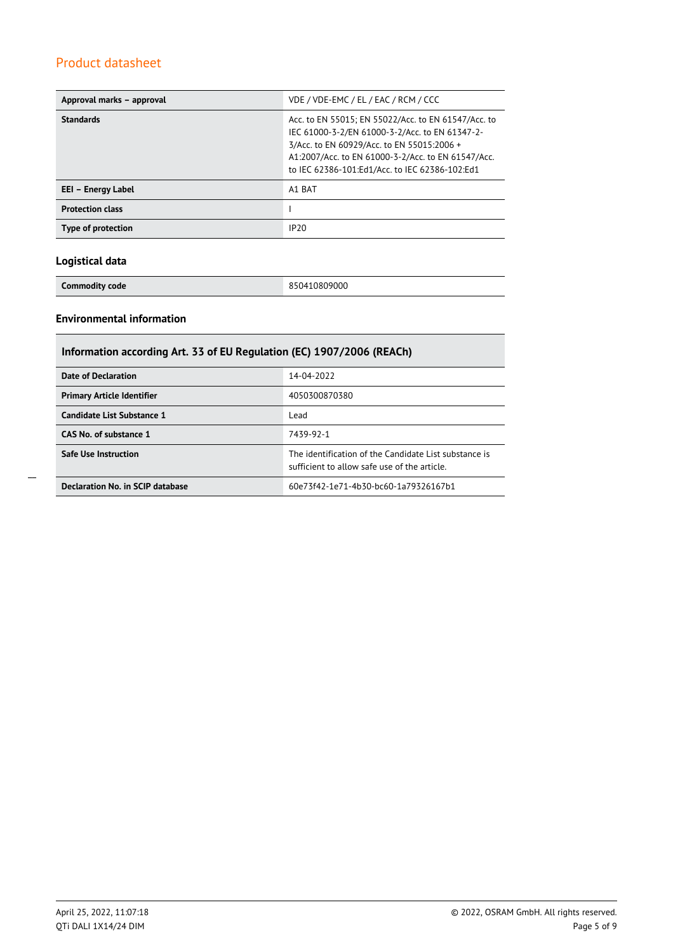| Approval marks - approval | VDE / VDE-EMC / EL / EAC / RCM / CCC                                                                                                                                                                                                                        |
|---------------------------|-------------------------------------------------------------------------------------------------------------------------------------------------------------------------------------------------------------------------------------------------------------|
| <b>Standards</b>          | Acc. to EN 55015; EN 55022/Acc. to EN 61547/Acc. to<br>IEC 61000-3-2/EN 61000-3-2/Acc. to EN 61347-2-<br>3/Acc. to EN 60929/Acc. to EN 55015:2006 +<br>A1:2007/Acc. to EN 61000-3-2/Acc. to EN 61547/Acc.<br>to IEC 62386-101:Ed1/Acc. to IEC 62386-102:Ed1 |
| EEI – Energy Label        | A1 BAT                                                                                                                                                                                                                                                      |
| <b>Protection class</b>   |                                                                                                                                                                                                                                                             |
| Type of protection        | IP20                                                                                                                                                                                                                                                        |

## **Logistical data**

**Commodity code** 850410809000

## **Environmental information**

| Information according Art. 33 of EU Regulation (EC) 1907/2006 (REACh) |                                                                                                      |  |  |
|-----------------------------------------------------------------------|------------------------------------------------------------------------------------------------------|--|--|
| Date of Declaration                                                   | 14-04-2022                                                                                           |  |  |
| <b>Primary Article Identifier</b>                                     | 4050300870380                                                                                        |  |  |
| Candidate List Substance 1                                            | Lead                                                                                                 |  |  |
| CAS No. of substance 1                                                | 7439-92-1                                                                                            |  |  |
| <b>Safe Use Instruction</b>                                           | The identification of the Candidate List substance is<br>sufficient to allow safe use of the article |  |  |
| Declaration No. in SCIP database                                      | 60e73f42-1e71-4b30-bc60-1a79326167b1                                                                 |  |  |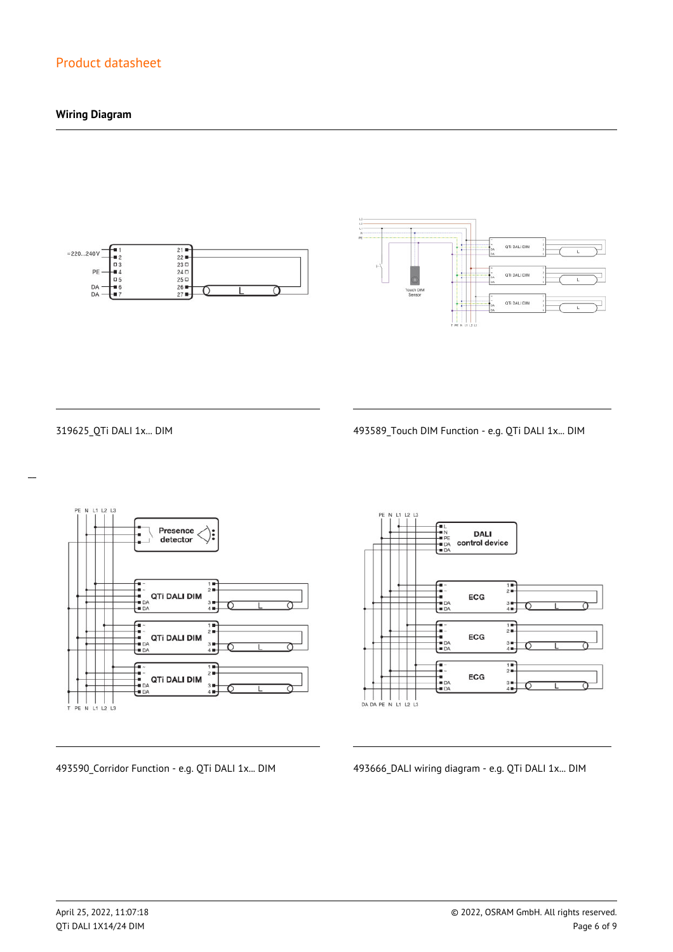## **Wiring Diagram**





 $\overline{a}$ 

319625\_QTi DALI 1x... DIM 493589\_Touch DIM Function - e.g. QTi DALI 1x... DIM



**DALI** control device  $\frac{1}{2}$ ECG  $\frac{3}{4}$  $\begin{array}{c}\n\overline{11} \\
\overline{21} \\
\overline{11}\n\end{array}$ -<br>- 1<br>- DA<br>- DA ECG  $3 +$ <br> $4 +$  $\frac{1}{2}$ --<br>--<br>-- DA<br>-- DA ECG  $3 +$ <br> $4 +$ 

493590\_Corridor Function - e.g. QTi DALI 1x... DIM 493666\_DALI wiring diagram - e.g. QTi DALI 1x... DIM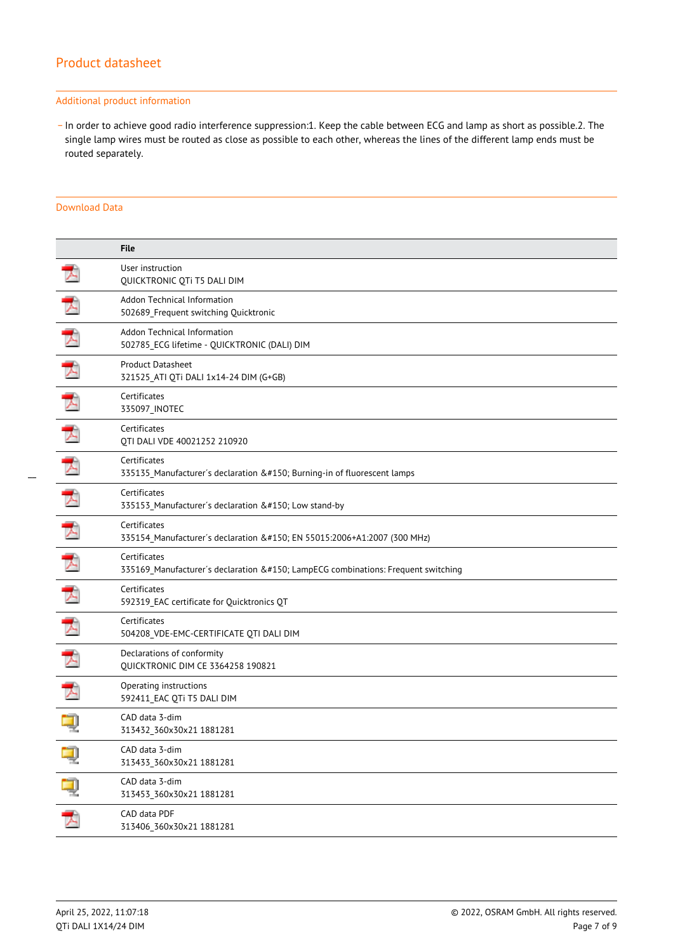#### Additional product information

\_ In order to achieve good radio interference suppression:1. Keep the cable between ECG and lamp as short as possible.2. The single lamp wires must be routed as close as possible to each other, whereas the lines of the different lamp ends must be routed separately.

### Download Data

|   | <b>File</b>                                                                                  |
|---|----------------------------------------------------------------------------------------------|
|   | User instruction<br>QUICKTRONIC QTi T5 DALI DIM                                              |
|   | Addon Technical Information<br>502689_Frequent switching Quicktronic                         |
| プ | Addon Technical Information<br>502785_ECG lifetime - QUICKTRONIC (DALI) DIM                  |
|   | <b>Product Datasheet</b><br>321525_ATI QTi DALI 1x14-24 DIM (G+GB)                           |
|   | Certificates<br>335097_INOTEC                                                                |
| ᆽ | Certificates<br>QTI DALI VDE 40021252 210920                                                 |
|   | Certificates<br>335135_Manufacturer's declaration – Burning-in of fluorescent lamps          |
| ᄌ | Certificates<br>335153_Manufacturer's declaration – Low stand-by                             |
| ᄀ | Certificates<br>335154_Manufacturer's declaration – EN 55015:2006+A1:2007 (300 MHz)          |
|   | Certificates<br>335169_Manufacturer's declaration – LampECG combinations: Frequent switching |
| ᄀ | Certificates<br>592319_EAC certificate for Quicktronics QT                                   |
|   | Certificates<br>504208_VDE-EMC-CERTIFICATE QTI DALI DIM                                      |
|   | Declarations of conformity<br>QUICKTRONIC DIM CE 3364258 190821                              |
|   | Operating instructions<br>592411 EAC QTi T5 DALI DIM                                         |
|   | CAD data 3-dim<br>313432_360x30x21 1881281                                                   |
|   | CAD data 3-dim<br>313433_360x30x21 1881281                                                   |
| ą | CAD data 3-dim<br>313453_360x30x21 1881281                                                   |
| 飞 | CAD data PDF<br>313406_360x30x21 1881281                                                     |
|   |                                                                                              |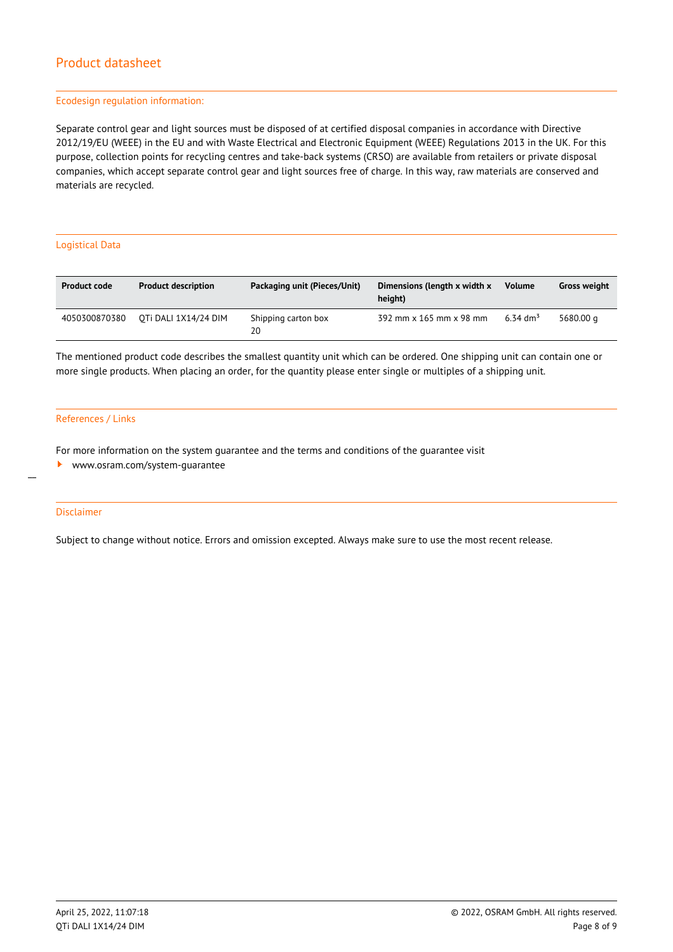#### Ecodesign regulation information:

Separate control gear and light sources must be disposed of at certified disposal companies in accordance with Directive 2012/19/EU (WEEE) in the EU and with Waste Electrical and Electronic Equipment (WEEE) Regulations 2013 in the UK. For this purpose, collection points for recycling centres and take-back systems (CRSO) are available from retailers or private disposal companies, which accept separate control gear and light sources free of charge. In this way, raw materials are conserved and materials are recycled.

#### Logistical Data

| <b>Product code</b> | <b>Product description</b> | Packaging unit (Pieces/Unit) | Dimensions (length x width x<br>height) | <b>Volume</b>        | <b>Gross weight</b> |
|---------------------|----------------------------|------------------------------|-----------------------------------------|----------------------|---------------------|
| 4050300870380       | OTi DALI 1X14/24 DIM       | Shipping carton box<br>20    | 392 mm x 165 mm x 98 mm                 | 6.34 dm <sup>3</sup> | 5680.00 g           |

The mentioned product code describes the smallest quantity unit which can be ordered. One shipping unit can contain one or more single products. When placing an order, for the quantity please enter single or multiples of a shipping unit.

#### References / Links

For more information on the system guarantee and the terms and conditions of the guarantee visit

<www.osram.com/system-guarantee>

#### Disclaimer

 $\overline{a}$ 

Subject to change without notice. Errors and omission excepted. Always make sure to use the most recent release.